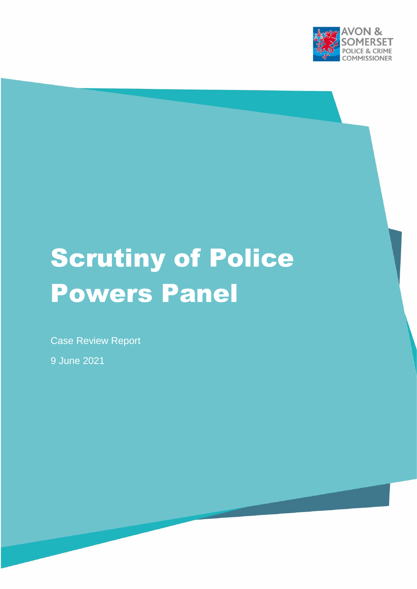

# Scrutiny of Police Powers Panel

Case Review Report

9 June 2021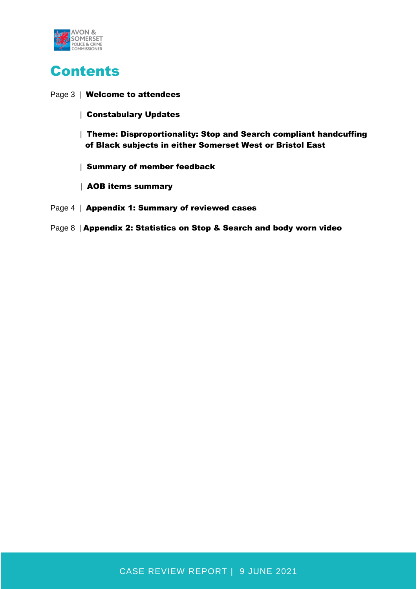

# Contents

#### Page 3 | Welcome to attendees

- | Constabulary Updates
- | Theme: Disproportionality: Stop and Search compliant handcuffing of Black subjects in either Somerset West or Bristol East
- | Summary of member feedback
- | AOB items summary
- Page 4 | Appendix 1: Summary of reviewed cases
- Page 8 | Appendix 2: Statistics on Stop & Search and body worn video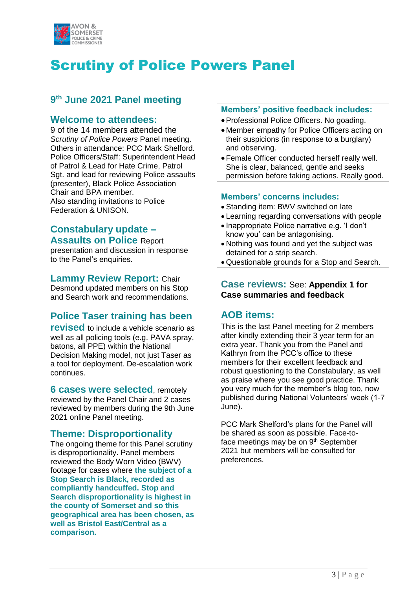

# Scrutiny of Police Powers Panel

# **9 th June 2021 Panel meeting**

#### **Welcome to attendees:**

9 of the 14 members attended the *Scrutiny of Police Powers* Panel meeting. Others in attendance: PCC Mark Shelford. Police Officers/Staff: Superintendent Head of Patrol & Lead for Hate Crime, Patrol Sgt. and lead for reviewing Police assaults (presenter), Black Police Association Chair and BPA member. Also standing invitations to Police Federation & UNISON.

### **Constabulary update – Assaults on Police** Report

presentation and discussion in response to the Panel's enquiries.

#### **Lammy Review Report:** Chair

Desmond updated members on his Stop and Search work and recommendations.

# **Police Taser training has been**

**revised** to include a vehicle scenario as well as all policing tools (e.g. PAVA spray, batons, all PPE) within the National Decision Making model, not just Taser as a tool for deployment. De-escalation work continues.

**6 cases were selected**, remotely reviewed by the Panel Chair and 2 cases reviewed by members during the 9th June 2021 online Panel meeting.

## **Theme: Disproportionality**

The ongoing theme for this Panel scrutiny is disproportionality. Panel members reviewed the Body Worn Video (BWV) footage for cases where **the subject of a Stop Search is Black, recorded as compliantly handcuffed. Stop and Search disproportionality is highest in the county of Somerset and so this geographical area has been chosen, as well as Bristol East/Central as a comparison.**

#### **Members' positive feedback includes:**

- Professional Police Officers. No goading.
- Member empathy for Police Officers acting on their suspicions (in response to a burglary) and observing.
- Female Officer conducted herself really well. She is clear, balanced, gentle and seeks permission before taking actions. Really good.

#### **Members' concerns includes:**

- Standing item: BWV switched on late
- Learning regarding conversations with people
- Inappropriate Police narrative e.g. 'I don't know you' can be antagonising.
- Nothing was found and yet the subject was detained for a strip search.
- Questionable grounds for a Stop and Search.

#### **Case reviews:** See: **Appendix 1 for Case summaries and feedback**

#### **AOB items:**

This is the last Panel meeting for 2 members after kindly extending their 3 year term for an extra year. Thank you from the Panel and Kathryn from the PCC's office to these members for their excellent feedback and robust questioning to the Constabulary, as well as praise where you see good practice. Thank you very much for the member's blog too, now published during National Volunteers' week (1-7 June).

PCC Mark Shelford's plans for the Panel will be shared as soon as possible. Face-toface meetings may be on 9<sup>th</sup> September 2021 but members will be consulted for preferences.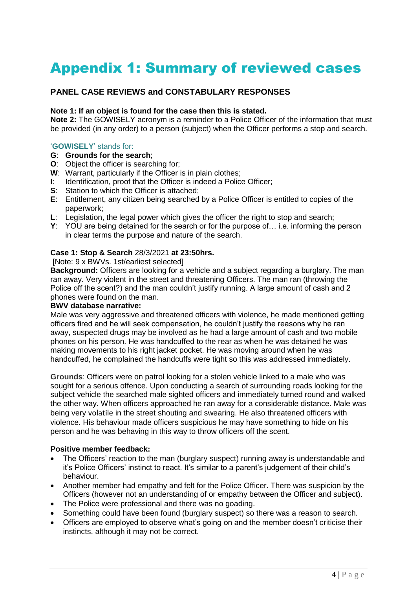# Appendix 1: Summary of reviewed cases

#### **PANEL CASE REVIEWS and CONSTABULARY RESPONSES**

#### **Note 1: If an object is found for the case then this is stated.**

**Note 2:** The GOWISELY acronym is a reminder to a Police Officer of the information that must be provided (in any order) to a person (subject) when the Officer performs a stop and search.

#### '**GOWISELY**' stands for:

- **G**: **Grounds for the search**;
- **O**: Object the officer is searching for;
- **W**: Warrant, particularly if the Officer is in plain clothes;
- **I**: Identification, proof that the Officer is indeed a Police Officer;
- **S:** Station to which the Officer is attached:
- **E**: Entitlement, any citizen being searched by a Police Officer is entitled to copies of the paperwork;
- **L**: Legislation, the legal power which gives the officer the right to stop and search;
- **Y**: YOU are being detained for the search or for the purpose of… i.e. informing the person in clear terms the purpose and nature of the search.

#### **Case 1: Stop & Search** 28/3/2021 **at 23:50hrs.**

#### [Note: 9 x BWVs. 1st/earliest selected]

**Background:** Officers are looking for a vehicle and a subject regarding a burglary. The man ran away. Very violent in the street and threatening Officers. The man ran (throwing the Police off the scent?) and the man couldn't justify running. A large amount of cash and 2 phones were found on the man.

#### **BWV database narrative:**

Male was very aggressive and threatened officers with violence, he made mentioned getting officers fired and he will seek compensation, he couldn't justify the reasons why he ran away, suspected drugs may be involved as he had a large amount of cash and two mobile phones on his person. He was handcuffed to the rear as when he was detained he was making movements to his right jacket pocket. He was moving around when he was handcuffed, he complained the handcuffs were tight so this was addressed immediately.

**Grounds**: Officers were on patrol looking for a stolen vehicle linked to a male who was sought for a serious offence. Upon conducting a search of surrounding roads looking for the subject vehicle the searched male sighted officers and immediately turned round and walked the other way. When officers approached he ran away for a considerable distance. Male was being very volatile in the street shouting and swearing. He also threatened officers with violence. His behaviour made officers suspicious he may have something to hide on his person and he was behaving in this way to throw officers off the scent.

#### **Positive member feedback:**

- The Officers' reaction to the man (burglary suspect) running away is understandable and it's Police Officers' instinct to react. It's similar to a parent's judgement of their child's behaviour.
- Another member had empathy and felt for the Police Officer. There was suspicion by the Officers (however not an understanding of or empathy between the Officer and subject).
- The Police were professional and there was no goading.
- Something could have been found (burglary suspect) so there was a reason to search.
- Officers are employed to observe what's going on and the member doesn't criticise their instincts, although it may not be correct.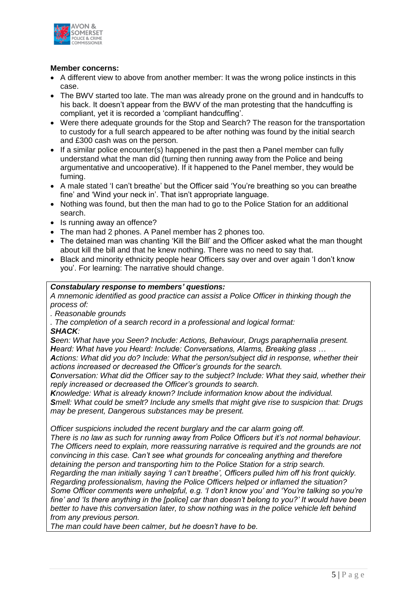

#### **Member concerns:**

- A different view to above from another member: It was the wrong police instincts in this case.
- The BWV started too late. The man was already prone on the ground and in handcuffs to his back. It doesn't appear from the BWV of the man protesting that the handcuffing is compliant, yet it is recorded a 'compliant handcuffing'.
- Were there adequate grounds for the Stop and Search? The reason for the transportation to custody for a full search appeared to be after nothing was found by the initial search and £300 cash was on the person.
- If a similar police encounter(s) happened in the past then a Panel member can fully understand what the man did (turning then running away from the Police and being argumentative and uncooperative). If it happened to the Panel member, they would be fuming.
- A male stated 'I can't breathe' but the Officer said 'You're breathing so you can breathe fine' and 'Wind your neck in'. That isn't appropriate language.
- Nothing was found, but then the man had to go to the Police Station for an additional search.
- Is running away an offence?
- The man had 2 phones. A Panel member has 2 phones too.
- The detained man was chanting 'Kill the Bill' and the Officer asked what the man thought about kill the bill and that he knew nothing. There was no need to say that.
- Black and minority ethnicity people hear Officers say over and over again 'I don't know you'. For learning: The narrative should change.

#### *Constabulary response to members' questions:*

*A mnemonic identified as good practice can assist a Police Officer in thinking though the process of:* 

*. Reasonable grounds*

*. The completion of a search record in a professional and logical format:*

#### *SHACK:*

*Seen: What have you Seen? Include: Actions, Behaviour, Drugs paraphernalia present. Heard: What have you Heard: Include: Conversations, Alarms, Breaking glass …*

*Actions: What did you do? Include: What the person/subject did in response, whether their actions increased or decreased the Officer's grounds for the search.*

*Conversation: What did the Officer say to the subject? Include: What they said, whether their reply increased or decreased the Officer's grounds to search.* 

*Knowledge: What is already known? Include information know about the individual. Smell: What could be smelt? Include any smells that might give rise to suspicion that: Drugs may be present, Dangerous substances may be present.* 

*Officer suspicions included the recent burglary and the car alarm going off. There is no law as such for running away from Police Officers but it's not normal behaviour. The Officers need to explain, more reassuring narrative is required and the grounds are not convincing in this case. Can't see what grounds for concealing anything and therefore detaining the person and transporting him to the Police Station for a strip search. Regarding the man initially saying 'I can't breathe', Officers pulled him off his front quickly. Regarding professionalism, having the Police Officers helped or inflamed the situation? Some Officer comments were unhelpful, e.g. 'I don't know you' and 'You're talking so you're fine' and 'Is there anything in the [police] car than doesn't belong to you?' It would have been better to have this conversation later, to show nothing was in the police vehicle left behind from any previous person.* 

*The man could have been calmer, but he doesn't have to be.*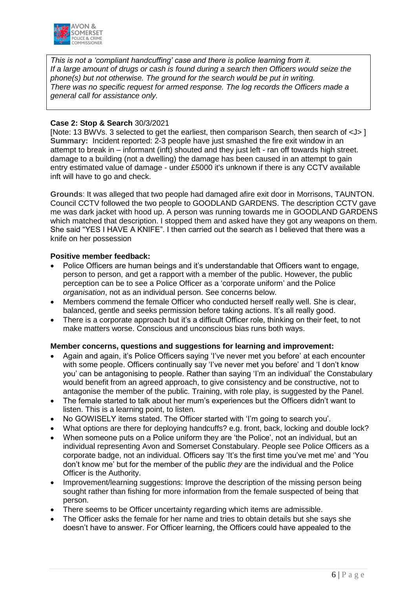

*This is not a 'compliant handcuffing' case and there is police learning from it. If a large amount of drugs or cash is found during a search then Officers would seize the phone(s) but not otherwise. The ground for the search would be put in writing. There was no specific request for armed response. The log records the Officers made a general call for assistance only.* 

#### **Case 2: Stop & Search** 30/3/2021

[Note: 13 BWVs. 3 selected to get the earliest, then comparison Search, then search of <J> ] **Summary:** Incident reported: 2-3 people have just smashed the fire exit window in an attempt to break in – informant (inft) shouted and they just left - ran off towards high street. damage to a building (not a dwelling) the damage has been caused in an attempt to gain entry estimated value of damage - under £5000 it's unknown if there is any CCTV available inft will have to go and check.

**Grounds**: It was alleged that two people had damaged afire exit door in Morrisons, TAUNTON. Council CCTV followed the two people to GOODLAND GARDENS. The description CCTV gave me was dark jacket with hood up. A person was running towards me in GOODLAND GARDENS which matched that description. I stopped them and asked have they got any weapons on them. She said "YES I HAVE A KNIFE". I then carried out the search as I believed that there was a knife on her possession

#### **Positive member feedback:**

- Police Officers are human beings and it's understandable that Officers want to engage, person to person, and get a rapport with a member of the public. However, the public perception can be to see a Police Officer as a 'corporate uniform' and the Police *organisation*, not as an individual person. See concerns below.
- Members commend the female Officer who conducted herself really well. She is clear, balanced, gentle and seeks permission before taking actions. It's all really good.
- There is a corporate approach but it's a difficult Officer role, thinking on their feet, to not make matters worse. Conscious and unconscious bias runs both ways.

#### **Member concerns, questions and suggestions for learning and improvement:**

- Again and again, it's Police Officers saying 'I've never met you before' at each encounter with some people. Officers continually say 'I've never met you before' and 'I don't know you' can be antagonising to people. Rather than saying 'I'm an individual' the Constabulary would benefit from an agreed approach, to give consistency and be constructive, not to antagonise the member of the public. Training, with role play, is suggested by the Panel.
- The female started to talk about her mum's experiences but the Officers didn't want to listen. This is a learning point, to listen.
- No GOWISELY items stated. The Officer started with 'I'm going to search you'.
- What options are there for deploying handcuffs? e.g. front, back, locking and double lock?
- When someone puts on a Police uniform they are 'the Police', not an individual, but an individual representing Avon and Somerset Constabulary. People see Police Officers as a corporate badge, not an individual. Officers say 'It's the first time you've met me' and 'You don't know me' but for the member of the public *they* are the individual and the Police Officer is the Authority.
- Improvement/learning suggestions: Improve the description of the missing person being sought rather than fishing for more information from the female suspected of being that person.
- There seems to be Officer uncertainty regarding which items are admissible.
- The Officer asks the female for her name and tries to obtain details but she says she doesn't have to answer. For Officer learning, the Officers could have appealed to the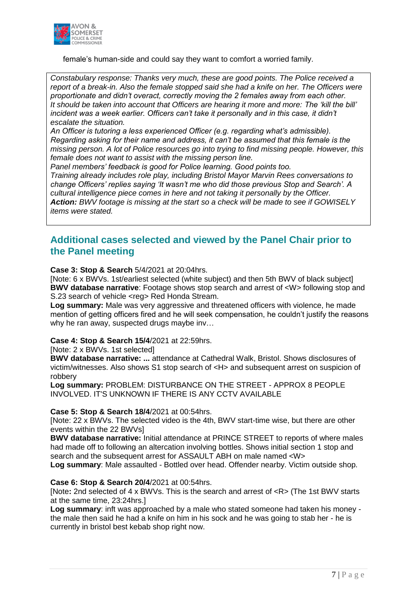

female's human-side and could say they want to comfort a worried family.

*Constabulary response: Thanks very much, these are good points. The Police received a report of a break-in. Also the female stopped said she had a knife on her. The Officers were proportionate and didn't overact, correctly moving the 2 females away from each other. It should be taken into account that Officers are hearing it more and more: The 'kill the bill'*  incident was a week earlier. Officers can't take it personally and in this case, it didn't *escalate the situation.* 

*An Officer is tutoring a less experienced Officer (e.g. regarding what's admissible). Regarding asking for their name and address, it can't be assumed that this female is the missing person. A lot of Police resources go into trying to find missing people. However, this female does not want to assist with the missing person line.* 

*Panel members' feedback is good for Police learning. Good points too.* 

*Training already includes role play, including Bristol Mayor Marvin Rees conversations to change Officers' replies saying 'It wasn't me who did those previous Stop and Search'. A cultural intelligence piece comes in here and not taking it personally by the Officer. Action: BWV footage is missing at the start so a check will be made to see if GOWISELY items were stated.* 

## **Additional cases selected and viewed by the Panel Chair prior to the Panel meeting**

**Case 3: Stop & Search** 5/4/2021 at 20:04hrs.

[Note: 6 x BWVs. 1st/earliest selected (white subject) and then 5th BWV of black subject] **BWV database narrative**: Footage shows stop search and arrest of <W> following stop and S.23 search of vehicle <reg> Red Honda Stream.

**Log summary:** Male was very aggressive and threatened officers with violence, he made mention of getting officers fired and he will seek compensation, he couldn't justify the reasons why he ran away, suspected drugs maybe inv…

**Case 4: Stop & Search 15/4**/2021 at 22:59hrs.

[Note: 2 x BWVs. 1st selected]

**BWV database narrative: ...** attendance at Cathedral Walk, Bristol. Shows disclosures of victim/witnesses. Also shows S1 stop search of <H> and subsequent arrest on suspicion of robbery

**Log summary:** PROBLEM: DISTURBANCE ON THE STREET - APPROX 8 PEOPLE INVOLVED. IT'S UNKNOWN IF THERE IS ANY CCTV AVAILABLE

#### **Case 5: Stop & Search 18/4**/2021 at 00:54hrs.

[Note: 22 x BWVs. The selected video is the 4th, BWV start-time wise, but there are other events within the 22 BWVs]

**BWV database narrative:** Initial attendance at PRINCE STREET to reports of where males had made off to following an altercation involving bottles. Shows initial section 1 stop and search and the subsequent arrest for ASSAULT ABH on male named <W>

**Log summary**: Male assaulted - Bottled over head. Offender nearby. Victim outside shop.

#### **Case 6: Stop & Search 20/4**/2021 at 00:54hrs.

[Note**:** 2nd selected of 4 x BWVs. This is the search and arrest of <R> (The 1st BWV starts at the same time, 23:24hrs.]

**Log summary**: inft was approached by a male who stated someone had taken his money the male then said he had a knife on him in his sock and he was going to stab her - he is currently in bristol best kebab shop right now.